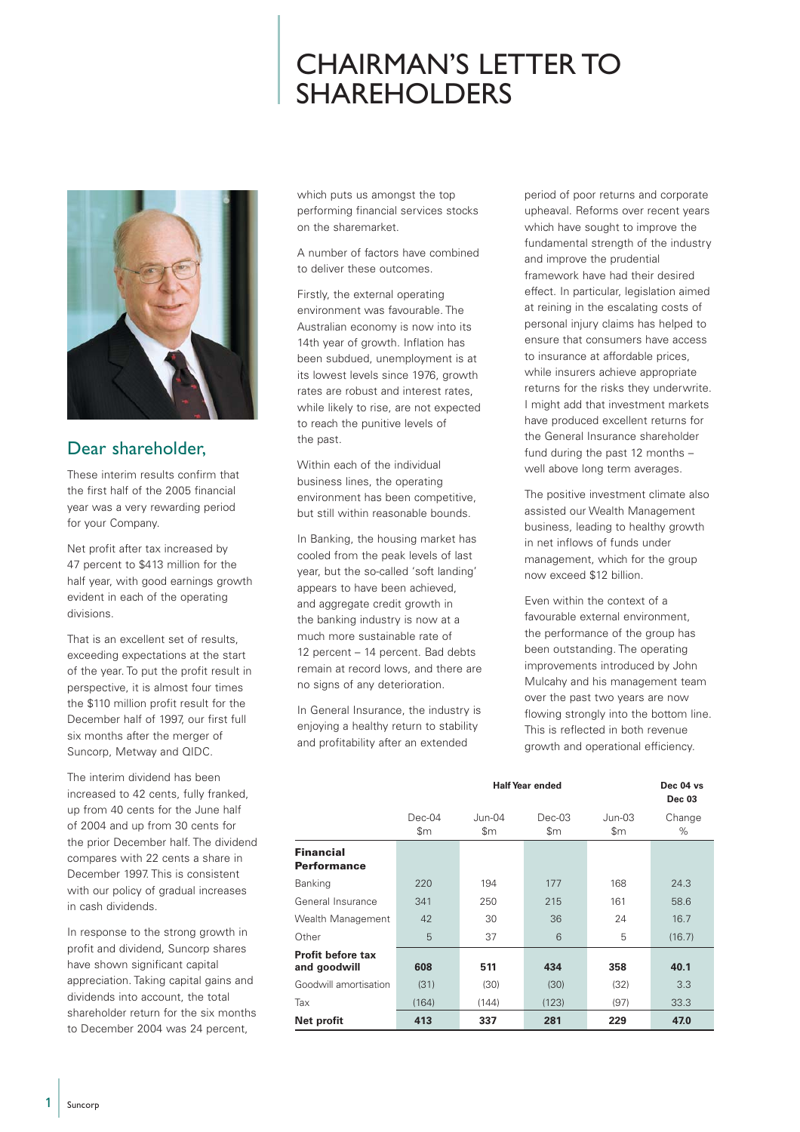## CHAIRMAN'S LETTER TO SHAREHOLDERS



## Dear shareholder,

These interim results confirm that the first half of the 2005 financial year was a very rewarding period for your Company.

Net profit after tax increased by 47 percent to \$413 million for the half year, with good earnings growth evident in each of the operating divisions.

That is an excellent set of results, exceeding expectations at the start of the year. To put the profit result in perspective, it is almost four times the \$110 million profit result for the December half of 1997, our first full six months after the merger of Suncorp, Metway and QIDC.

The interim dividend has been increased to 42 cents, fully franked, up from 40 cents for the June half of 2004 and up from 30 cents for the prior December half. The dividend compares with 22 cents a share in December 1997. This is consistent with our policy of gradual increases in cash dividends.

In response to the strong growth in profit and dividend, Suncorp shares have shown significant capital appreciation. Taking capital gains and dividends into account, the total shareholder return for the six months to December 2004 was 24 percent,

which puts us amongst the top performing financial services stocks on the sharemarket.

A number of factors have combined to deliver these outcomes.

Firstly, the external operating environment was favourable. The Australian economy is now into its 14th year of growth. Inflation has been subdued, unemployment is at its lowest levels since 1976, growth rates are robust and interest rates, while likely to rise, are not expected to reach the punitive levels of the past.

Within each of the individual business lines, the operating environment has been competitive, but still within reasonable bounds.

In Banking, the housing market has cooled from the peak levels of last year, but the so-called 'soft landing' appears to have been achieved, and aggregate credit growth in the banking industry is now at a much more sustainable rate of 12 percent – 14 percent. Bad debts remain at record lows, and there are no signs of any deterioration.

In General Insurance, the industry is enjoying a healthy return to stability and profitability after an extended

period of poor returns and corporate upheaval. Reforms over recent years which have sought to improve the fundamental strength of the industry and improve the prudential framework have had their desired effect. In particular, legislation aimed at reining in the escalating costs of personal injury claims has helped to ensure that consumers have access to insurance at affordable prices, while insurers achieve appropriate returns for the risks they underwrite. I might add that investment markets have produced excellent returns for the General Insurance shareholder fund during the past 12 months – well above long term averages.

The positive investment climate also assisted our Wealth Management business, leading to healthy growth in net inflows of funds under management, which for the group now exceed \$12 billion.

Even within the context of a favourable external environment, the performance of the group has been outstanding. The operating improvements introduced by John Mulcahy and his management team over the past two years are now flowing strongly into the bottom line. This is reflected in both revenue growth and operational efficiency.

|                                        | <b>Half Year ended</b> |                 |                 |                 | Dec 04 vs<br><b>Dec 03</b> |
|----------------------------------------|------------------------|-----------------|-----------------|-----------------|----------------------------|
|                                        | $Dec-04$<br>\$m        | $Jun-04$<br>\$m | $Dec-03$<br>\$m | $Jun-03$<br>\$m | Change<br>$\%$             |
| <b>Financial</b><br><b>Performance</b> |                        |                 |                 |                 |                            |
| Banking                                | 220                    | 194             | 177             | 168             | 24.3                       |
| General Insurance                      | 341                    | 250             | 215             | 161             | 58.6                       |
| Wealth Management                      | 42                     | 30              | 36              | 24              | 16.7                       |
| Other                                  | 5                      | 37              | 6               | 5               | (16.7)                     |
| Profit before tax<br>and goodwill      | 608                    | 511             | 434             | 358             | 40.1                       |
| Goodwill amortisation                  | (31)                   | (30)            | (30)            | (32)            | 3.3                        |
| Tax                                    | (164)                  | (144)           | (123)           | (97)            | 33.3                       |
| Net profit                             | 413                    | 337             | 281             | 229             | 47.0                       |